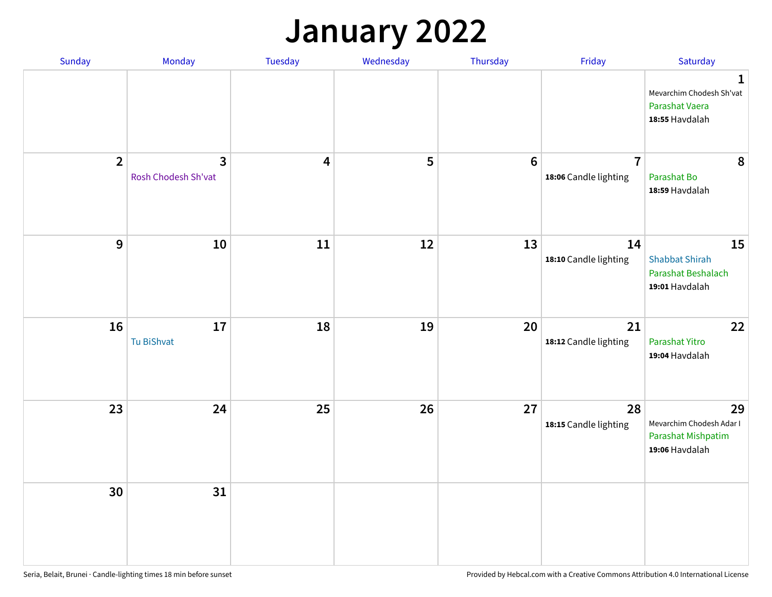#### **January 2022**

| Sunday         | Monday                                | Tuesday                 | Wednesday | Thursday         | Friday                                  | Saturday                                                                     |
|----------------|---------------------------------------|-------------------------|-----------|------------------|-----------------------------------------|------------------------------------------------------------------------------|
|                |                                       |                         |           |                  |                                         | $\mathbf{1}$<br>Mevarchim Chodesh Sh'vat<br>Parashat Vaera<br>18:55 Havdalah |
| $\overline{2}$ | $\overline{3}$<br>Rosh Chodesh Sh'vat | $\overline{\mathbf{4}}$ | 5         | $\boldsymbol{6}$ | $\overline{7}$<br>18:06 Candle lighting | 8<br>Parashat Bo<br>18:59 Havdalah                                           |
| $\mathbf{9}$   | 10                                    | ${\bf 11}$              | 12        | 13               | 14<br>18:10 Candle lighting             | 15<br><b>Shabbat Shirah</b><br>Parashat Beshalach<br>19:01 Havdalah          |
| 16             | 17<br><b>Tu BiShvat</b>               | 18                      | 19        | 20               | 21<br>18:12 Candle lighting             | 22<br>Parashat Yitro<br>19:04 Havdalah                                       |
| 23             | 24                                    | 25                      | 26        | 27               | 28<br>18:15 Candle lighting             | 29<br>Mevarchim Chodesh Adar I<br>Parashat Mishpatim<br>19:06 Havdalah       |
| 30             | 31                                    |                         |           |                  |                                         |                                                                              |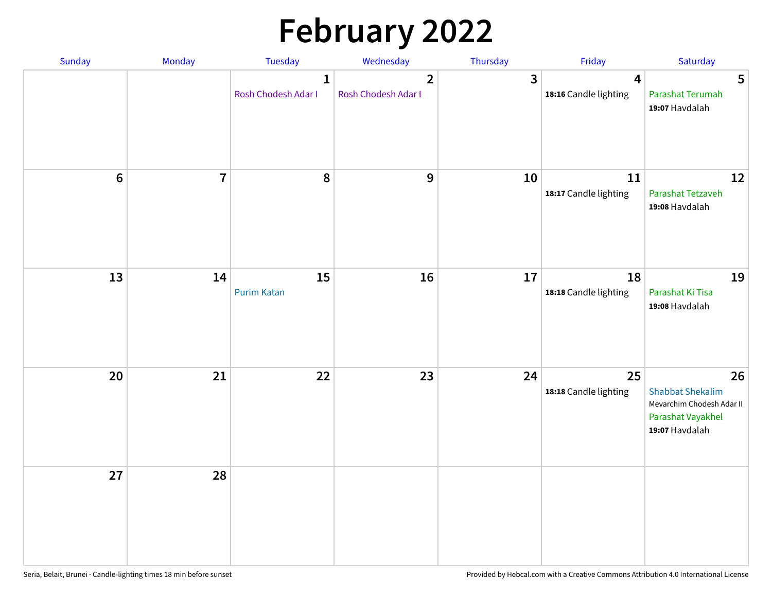# **February 2022**

| Sunday           | Monday                  | <b>Tuesday</b>                      | Wednesday                             | Thursday | Friday                                           | Saturday                                                                                          |
|------------------|-------------------------|-------------------------------------|---------------------------------------|----------|--------------------------------------------------|---------------------------------------------------------------------------------------------------|
|                  |                         | $\mathbf{1}$<br>Rosh Chodesh Adar I | $\overline{2}$<br>Rosh Chodesh Adar I | 3        | $\overline{\mathbf{4}}$<br>18:16 Candle lighting | 5<br>Parashat Terumah<br>19:07 Havdalah                                                           |
| $\boldsymbol{6}$ | $\overline{\mathbf{7}}$ | 8                                   | $\boldsymbol{9}$                      | 10       | 11<br>18:17 Candle lighting                      | 12<br>Parashat Tetzaveh<br>19:08 Havdalah                                                         |
| 13               | 14                      | 15<br><b>Purim Katan</b>            | 16                                    | 17       | 18<br>18:18 Candle lighting                      | 19<br>Parashat Ki Tisa<br>19:08 Havdalah                                                          |
| 20               | 21                      | 22                                  | 23                                    | 24       | 25<br>18:18 Candle lighting                      | 26<br><b>Shabbat Shekalim</b><br>Mevarchim Chodesh Adar II<br>Parashat Vayakhel<br>19:07 Havdalah |
| 27               | 28                      |                                     |                                       |          |                                                  |                                                                                                   |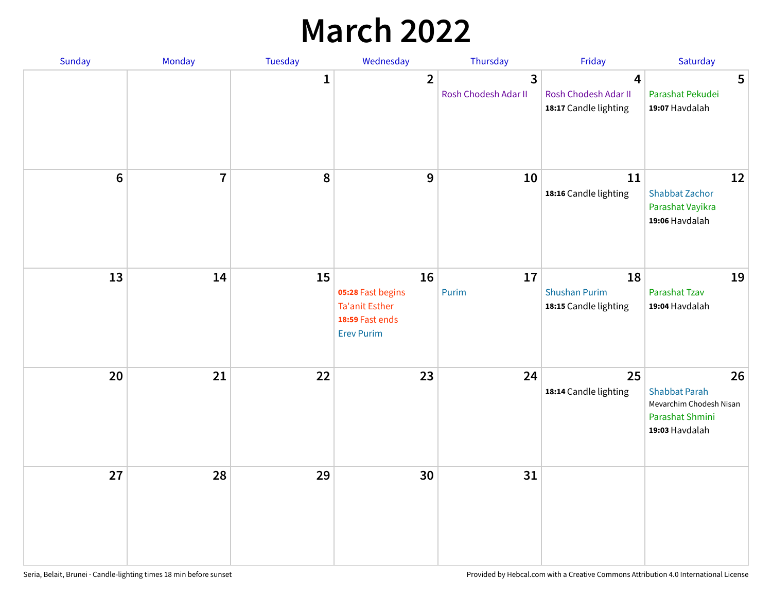## **March 2022**

| Sunday | Monday         | <b>Tuesday</b> | Wednesday                                                                                | Thursday                  | Friday                                                                   | Saturday                                                                                   |
|--------|----------------|----------------|------------------------------------------------------------------------------------------|---------------------------|--------------------------------------------------------------------------|--------------------------------------------------------------------------------------------|
|        |                | $\mathbf{1}$   | $\overline{2}$                                                                           | 3<br>Rosh Chodesh Adar II | $\overline{\mathbf{4}}$<br>Rosh Chodesh Adar II<br>18:17 Candle lighting | 5<br>Parashat Pekudei<br>19:07 Havdalah                                                    |
| $6\,$  | $\overline{7}$ | 8              | 9                                                                                        | 10                        | 11<br>18:16 Candle lighting                                              | 12<br><b>Shabbat Zachor</b><br>Parashat Vayikra<br>19:06 Havdalah                          |
| 13     | 14             | 15             | 16<br>05:28 Fast begins<br><b>Ta'anit Esther</b><br>18:59 Fast ends<br><b>Erev Purim</b> | 17<br>Purim               | 18<br><b>Shushan Purim</b><br>18:15 Candle lighting                      | 19<br>Parashat Tzav<br>19:04 Havdalah                                                      |
| 20     | 21             | 22             | 23                                                                                       | 24                        | 25<br>18:14 Candle lighting                                              | 26<br><b>Shabbat Parah</b><br>Mevarchim Chodesh Nisan<br>Parashat Shmini<br>19:03 Havdalah |
| 27     | 28             | 29             | 30                                                                                       | 31                        |                                                                          |                                                                                            |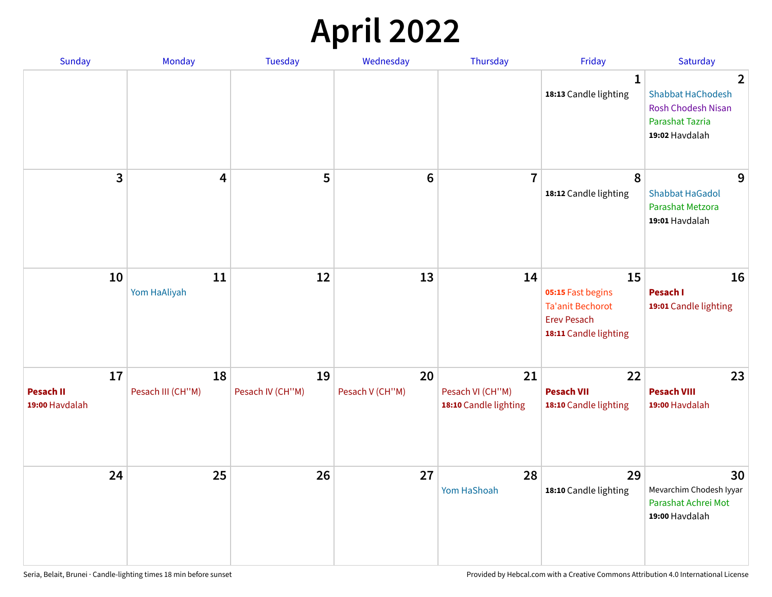## **April 2022**

| Sunday                                   | Monday                  | <b>Tuesday</b>         | Wednesday             | Thursday                                        | Friday                                                                                            | Saturday                                                                                                     |
|------------------------------------------|-------------------------|------------------------|-----------------------|-------------------------------------------------|---------------------------------------------------------------------------------------------------|--------------------------------------------------------------------------------------------------------------|
|                                          |                         |                        |                       |                                                 | 1<br>18:13 Candle lighting                                                                        | $\overline{2}$<br><b>Shabbat HaChodesh</b><br><b>Rosh Chodesh Nisan</b><br>Parashat Tazria<br>19:02 Havdalah |
| 3                                        | $\overline{\mathbf{4}}$ | 5                      | $6\phantom{1}6$       | $\overline{7}$                                  | 8<br>18:12 Candle lighting                                                                        | 9<br><b>Shabbat HaGadol</b><br>Parashat Metzora<br>19:01 Havdalah                                            |
| 10                                       | 11<br>Yom HaAliyah      | 12                     | 13                    | 14                                              | 15<br>05:15 Fast begins<br><b>Ta'anit Bechorot</b><br><b>Erev Pesach</b><br>18:11 Candle lighting | 16<br>Pesach I<br>19:01 Candle lighting                                                                      |
| 17<br><b>Pesach II</b><br>19:00 Havdalah | 18<br>Pesach III (CH"M) | 19<br>Pesach IV (CH"M) | 20<br>Pesach V (CH"M) | 21<br>Pesach VI (CH"M)<br>18:10 Candle lighting | 22<br><b>Pesach VII</b><br>18:10 Candle lighting                                                  | 23<br><b>Pesach VIII</b><br>19:00 Havdalah                                                                   |
| 24                                       | 25                      | 26                     | 27                    | 28<br>Yom HaShoah                               | 29<br>18:10 Candle lighting                                                                       | 30<br>Mevarchim Chodesh Iyyar<br>Parashat Achrei Mot<br>19:00 Havdalah                                       |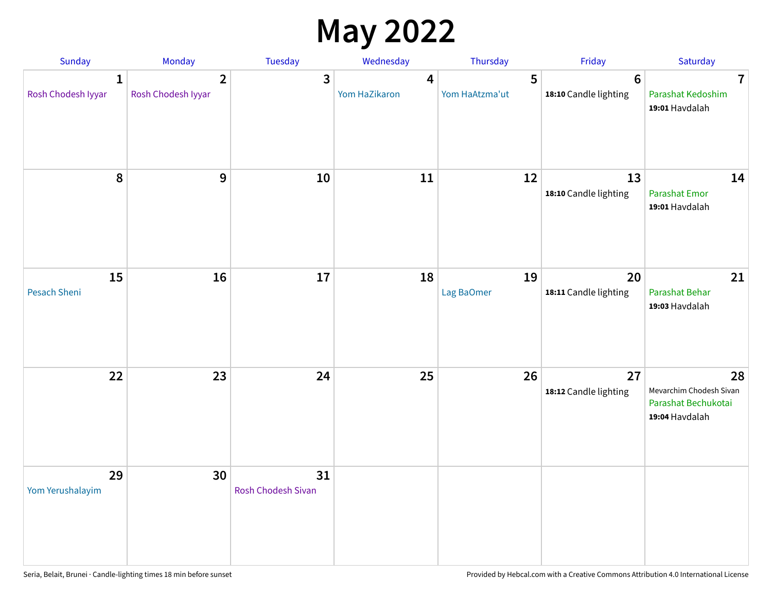## **May 2022**

| Sunday                             | Monday                               | Tuesday                         | Wednesday          | Thursday            | Friday                                   | Saturday                                                               |
|------------------------------------|--------------------------------------|---------------------------------|--------------------|---------------------|------------------------------------------|------------------------------------------------------------------------|
| $\mathbf{1}$<br>Rosh Chodesh Iyyar | $\overline{2}$<br>Rosh Chodesh Iyyar | 3                               | 4<br>Yom HaZikaron | 5<br>Yom HaAtzma'ut | $6\phantom{1}6$<br>18:10 Candle lighting | $\overline{7}$<br>Parashat Kedoshim<br>19:01 Havdalah                  |
| $\pmb{8}$                          | $\mathbf{9}$                         | 10                              | 11                 | 12                  | 13<br>18:10 Candle lighting              | 14<br><b>Parashat Emor</b><br>19:01 Havdalah                           |
| 15<br>Pesach Sheni                 | 16                                   | 17                              | 18                 | 19<br>Lag BaOmer    | 20<br>18:11 Candle lighting              | 21<br>Parashat Behar<br>19:03 Havdalah                                 |
| 22                                 | 23                                   | 24                              | 25                 | 26                  | 27<br>18:12 Candle lighting              | 28<br>Mevarchim Chodesh Sivan<br>Parashat Bechukotai<br>19:04 Havdalah |
| 29<br>Yom Yerushalayim             | 30                                   | 31<br><b>Rosh Chodesh Sivan</b> |                    |                     |                                          |                                                                        |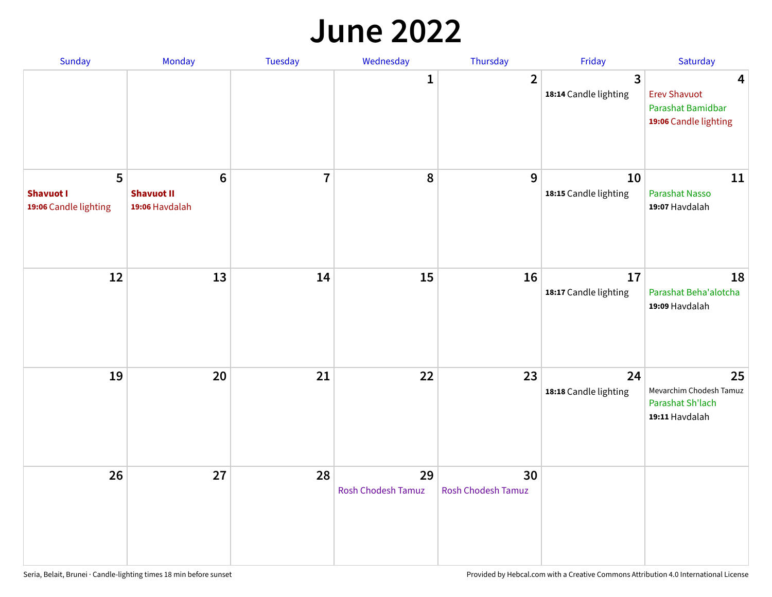#### **June 2022**

| Sunday                                         | Monday                                         | Tuesday        | Wednesday                       | Thursday                 | Friday                      | Saturday                                                                                     |
|------------------------------------------------|------------------------------------------------|----------------|---------------------------------|--------------------------|-----------------------------|----------------------------------------------------------------------------------------------|
|                                                |                                                |                | 1                               | $\overline{2}$           | 3<br>18:14 Candle lighting  | $\overline{\mathbf{4}}$<br><b>Erev Shavuot</b><br>Parashat Bamidbar<br>19:06 Candle lighting |
| 5<br><b>Shavuot I</b><br>19:06 Candle lighting | $\bf 6$<br><b>Shavuot II</b><br>19:06 Havdalah | $\overline{7}$ | 8                               | 9                        | 10<br>18:15 Candle lighting | 11<br>Parashat Nasso<br>19:07 Havdalah                                                       |
| 12                                             | 13                                             | 14             | 15                              | 16                       | 17<br>18:17 Candle lighting | 18<br>Parashat Beha'alotcha<br>19:09 Havdalah                                                |
| 19                                             | 20                                             | 21             | 22                              | 23                       | 24<br>18:18 Candle lighting | 25<br>Mevarchim Chodesh Tamuz<br>Parashat Sh'lach<br>19:11 Havdalah                          |
| 26                                             | 27                                             | 28             | 29<br><b>Rosh Chodesh Tamuz</b> | 30<br>Rosh Chodesh Tamuz |                             |                                                                                              |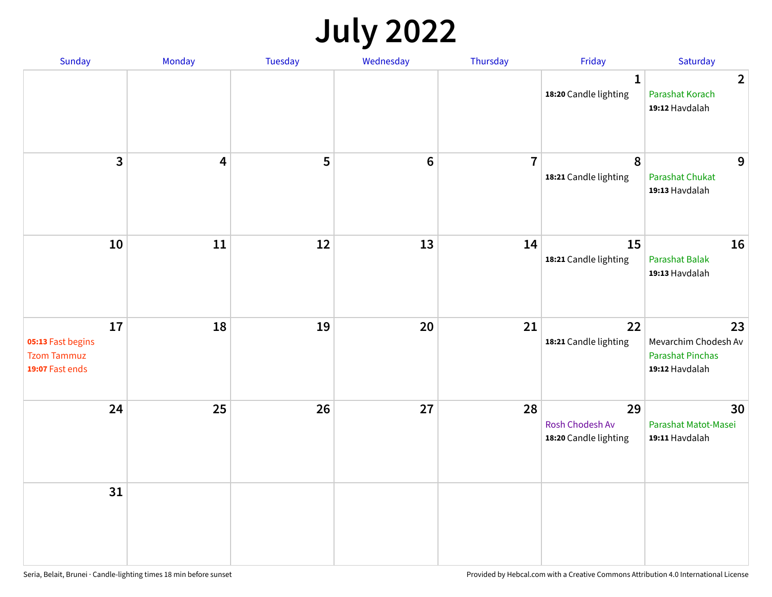## **July 2022**

| Sunday                                                           | Monday | Tuesday | Wednesday      | Thursday       | Friday                                         | Saturday                                                                |
|------------------------------------------------------------------|--------|---------|----------------|----------------|------------------------------------------------|-------------------------------------------------------------------------|
|                                                                  |        |         |                |                | $\mathbf{1}$<br>18:20 Candle lighting          | $\overline{2}$<br>Parashat Korach<br>19:12 Havdalah                     |
| $\overline{\mathbf{3}}$                                          | 4      | 5       | $6\phantom{1}$ | $\overline{7}$ | $\boldsymbol{8}$<br>18:21 Candle lighting      | 9<br><b>Parashat Chukat</b><br>19:13 Havdalah                           |
| 10                                                               | 11     | 12      | 13             | 14             | 15<br>18:21 Candle lighting                    | 16<br><b>Parashat Balak</b><br>19:13 Havdalah                           |
| 17<br>05:13 Fast begins<br><b>Tzom Tammuz</b><br>19:07 Fast ends | 18     | 19      | 20             | 21             | 22<br>18:21 Candle lighting                    | 23<br>Mevarchim Chodesh Av<br><b>Parashat Pinchas</b><br>19:12 Havdalah |
| 24                                                               | 25     | 26      | 27             | 28             | 29<br>Rosh Chodesh Av<br>18:20 Candle lighting | 30<br>Parashat Matot-Masei<br>19:11 Havdalah                            |
| 31                                                               |        |         |                |                |                                                |                                                                         |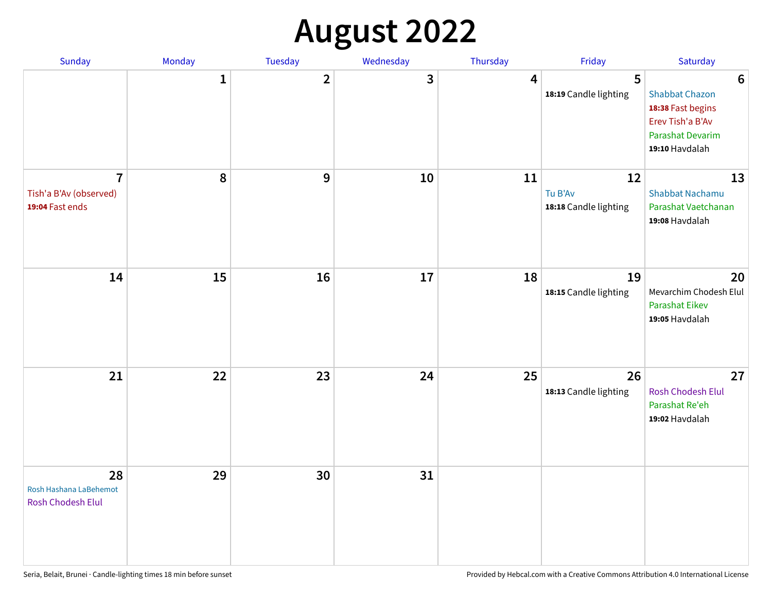# **August 2022**

| Sunday                                                      | Monday       | Tuesday                 | Wednesday | Thursday | Friday                                 | Saturday                                                                                                                       |
|-------------------------------------------------------------|--------------|-------------------------|-----------|----------|----------------------------------------|--------------------------------------------------------------------------------------------------------------------------------|
|                                                             | $\mathbf{1}$ | $\overline{\mathbf{2}}$ | 3         | 4        | 5<br>18:19 Candle lighting             | $6\phantom{1}6$<br><b>Shabbat Chazon</b><br>18:38 Fast begins<br>Erev Tish'a B'Av<br><b>Parashat Devarim</b><br>19:10 Havdalah |
| $\overline{7}$<br>Tish'a B'Av (observed)<br>19:04 Fast ends | 8            | 9                       | 10        | 11       | 12<br>Tu B'Av<br>18:18 Candle lighting | 13<br><b>Shabbat Nachamu</b><br>Parashat Vaetchanan<br>19:08 Havdalah                                                          |
| 14                                                          | 15           | 16                      | 17        | 18       | 19<br>18:15 Candle lighting            | 20<br>Mevarchim Chodesh Elul<br><b>Parashat Eikev</b><br>19:05 Havdalah                                                        |
| 21                                                          | 22           | 23                      | 24        | 25       | 26<br>18:13 Candle lighting            | 27<br><b>Rosh Chodesh Elul</b><br>Parashat Re'eh<br>19:02 Havdalah                                                             |
| 28<br>Rosh Hashana LaBehemot<br><b>Rosh Chodesh Elul</b>    | 29           | 30                      | 31        |          |                                        |                                                                                                                                |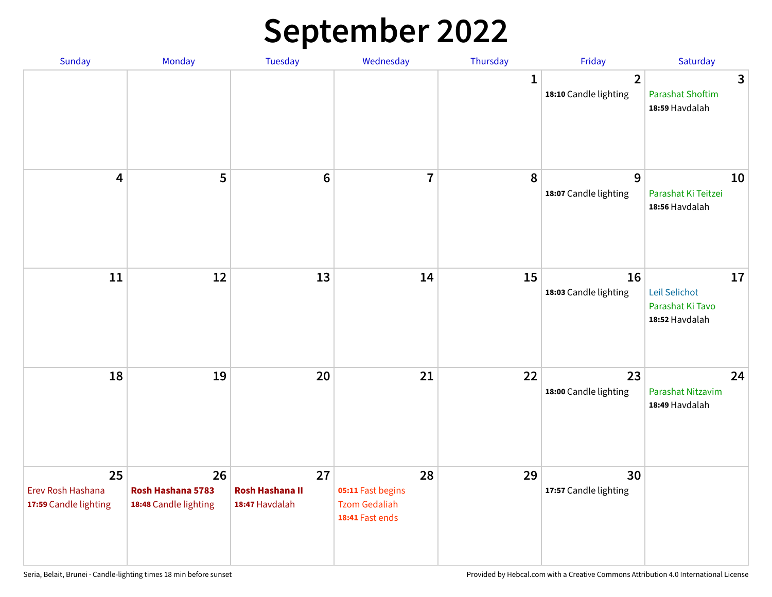## **September 2022**

| Sunday                                           | Monday                                           | Tuesday                                        | Wednesday                                                          | Thursday     | Friday                                  | Saturday                                                  |
|--------------------------------------------------|--------------------------------------------------|------------------------------------------------|--------------------------------------------------------------------|--------------|-----------------------------------------|-----------------------------------------------------------|
|                                                  |                                                  |                                                |                                                                    | $\mathbf{1}$ | $\overline{2}$<br>18:10 Candle lighting | 3<br><b>Parashat Shoftim</b><br>18:59 Havdalah            |
| $\overline{\mathbf{4}}$                          | 5                                                | $6\phantom{1}6$                                | $\overline{7}$                                                     | 8            | $\overline{9}$<br>18:07 Candle lighting | 10<br>Parashat Ki Teitzei<br>18:56 Havdalah               |
| 11                                               | 12                                               | 13                                             | 14                                                                 | 15           | 16<br>18:03 Candle lighting             | 17<br>Leil Selichot<br>Parashat Ki Tavo<br>18:52 Havdalah |
| 18                                               | 19                                               | 20                                             | 21                                                                 | 22           | 23<br>18:00 Candle lighting             | 24<br>Parashat Nitzavim<br>18:49 Havdalah                 |
| 25<br>Erev Rosh Hashana<br>17:59 Candle lighting | 26<br>Rosh Hashana 5783<br>18:48 Candle lighting | 27<br><b>Rosh Hashana II</b><br>18:47 Havdalah | 28<br>05:11 Fast begins<br><b>Tzom Gedaliah</b><br>18:41 Fast ends | 29           | 30<br>17:57 Candle lighting             |                                                           |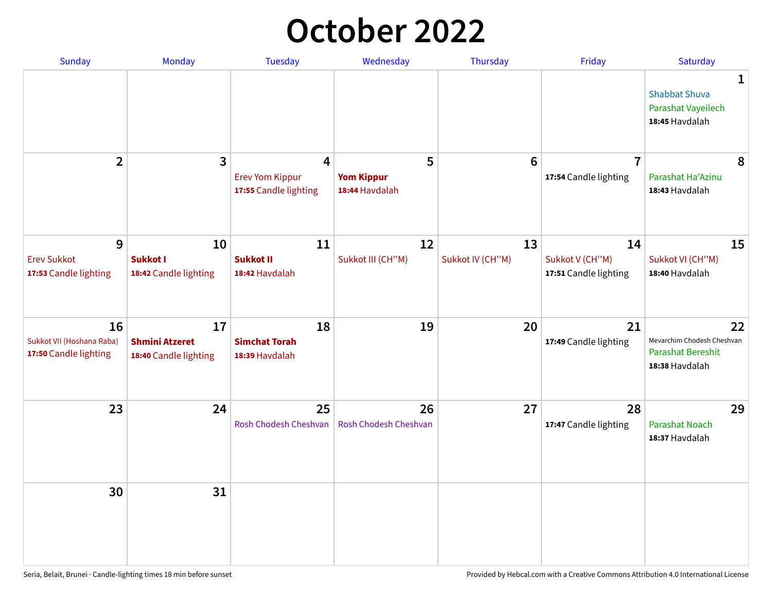## **October 2022**

| Sunday                                                   | <b>Monday</b>                                        | <b>Tuesday</b>                                                    | Wednesday                                | Thursday               | Friday                                         | Saturday                                                                |
|----------------------------------------------------------|------------------------------------------------------|-------------------------------------------------------------------|------------------------------------------|------------------------|------------------------------------------------|-------------------------------------------------------------------------|
|                                                          |                                                      |                                                                   |                                          |                        |                                                | 1<br><b>Shabbat Shuva</b><br>Parashat Vayeilech<br>18:45 Havdalah       |
| $\overline{2}$                                           | 3                                                    | $\overline{4}$<br><b>Erev Yom Kippur</b><br>17:55 Candle lighting | 5<br><b>Yom Kippur</b><br>18:44 Havdalah | 6                      | $\overline{7}$<br>17:54 Candle lighting        | 8<br>Parashat Ha'Azinu<br>18:43 Havdalah                                |
| 9<br><b>Erev Sukkot</b><br>17:53 Candle lighting         | 10<br><b>Sukkot I</b><br>18:42 Candle lighting       | 11<br><b>Sukkot II</b><br>18:42 Havdalah                          | 12<br>Sukkot III (CH"M)                  | 13<br>Sukkot IV (CH"M) | 14<br>Sukkot V (CH"M)<br>17:51 Candle lighting | 15<br>Sukkot VI (CH"M)<br>18:40 Havdalah                                |
| 16<br>Sukkot VII (Hoshana Raba)<br>17:50 Candle lighting | 17<br><b>Shmini Atzeret</b><br>18:40 Candle lighting | 18<br><b>Simchat Torah</b><br>18:39 Havdalah                      | 19                                       | 20                     | 21<br>17:49 Candle lighting                    | 22<br>Mevarchim Chodesh Cheshvan<br>Parashat Bereshit<br>18:38 Havdalah |
| 23                                                       | 24                                                   | 25<br>Rosh Chodesh Cheshvan                                       | 26<br>Rosh Chodesh Cheshvan              | 27                     | 28<br>17:47 Candle lighting                    | 29<br><b>Parashat Noach</b><br>18:37 Havdalah                           |
| 30                                                       | 31                                                   |                                                                   |                                          |                        |                                                |                                                                         |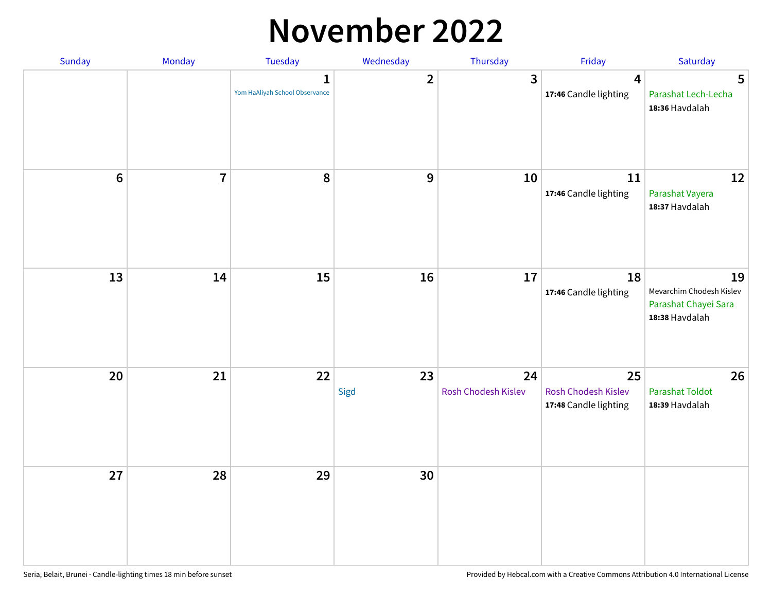#### **November 2022**

| Sunday | Monday         | Tuesday                             | Wednesday    | Thursday                  | Friday                                             | Saturday                                                                 |
|--------|----------------|-------------------------------------|--------------|---------------------------|----------------------------------------------------|--------------------------------------------------------------------------|
|        |                | 1<br>Yom HaAliyah School Observance | $\mathbf{2}$ | $\overline{\mathbf{3}}$   | $\overline{\mathbf{4}}$<br>17:46 Candle lighting   | 5<br>Parashat Lech-Lecha<br>18:36 Havdalah                               |
| $6\,$  | $\overline{7}$ | 8                                   | 9            | 10                        | 11<br>17:46 Candle lighting                        | 12<br>Parashat Vayera<br>18:37 Havdalah                                  |
| 13     | 14             | 15                                  | 16           | 17                        | 18<br>17:46 Candle lighting                        | 19<br>Mevarchim Chodesh Kislev<br>Parashat Chayei Sara<br>18:38 Havdalah |
| 20     | 21             | 22                                  | 23<br>Sigd   | 24<br>Rosh Chodesh Kislev | 25<br>Rosh Chodesh Kislev<br>17:48 Candle lighting | 26<br><b>Parashat Toldot</b><br>18:39 Havdalah                           |
| 27     | 28             | 29                                  | 30           |                           |                                                    |                                                                          |